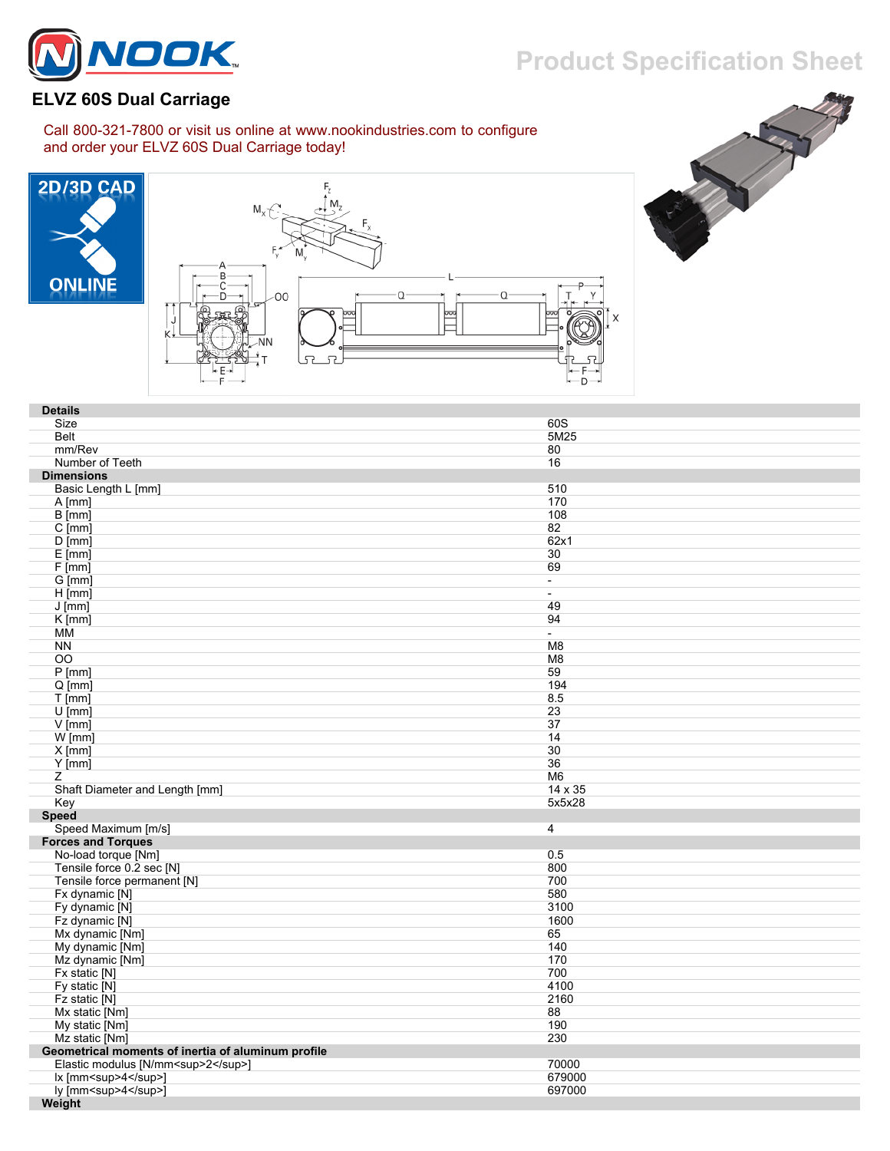

## **Product Specification Sheet**

## **ELVZ 60S Dual Carriage**

Call 800-321-7800 or visit us online at www.nookindustries.com to configure and order your ELVZ 60S Dual Carriage today!







| <b>Details</b>                                     |                |
|----------------------------------------------------|----------------|
| Size                                               | 60S            |
| <b>Belt</b>                                        | 5M25           |
| mm/Rev                                             | 80             |
| Number of Teeth                                    | 16             |
| <b>Dimensions</b>                                  |                |
| Basic Length L [mm]                                | 510            |
| $A$ [mm]                                           | 170            |
| $B$ [mm]                                           | 108            |
| $C$ [mm]                                           | 82             |
| $D$ [mm]                                           | 62x1           |
| $E$ [mm]                                           | 30             |
| $F$ [mm]                                           | 69             |
| $G$ [mm]                                           | $\blacksquare$ |
| $H$ [mm]                                           | $\blacksquare$ |
| $J$ [mm]                                           | 49             |
| $K$ [mm]                                           | 94             |
| MМ                                                 | $\sim$         |
| <b>NN</b>                                          | M <sub>8</sub> |
| OO.                                                | M <sub>8</sub> |
| $P$ [mm]                                           | 59             |
| $Q$ [mm]                                           | 194            |
| $T$ [mm]                                           | 8.5            |
| $U$ [mm]                                           | 23             |
| $V$ [mm]                                           | 37             |
| $W$ [mm]                                           | 14             |
| $X$ [mm]                                           | 30             |
| $Y$ [mm]                                           | 36             |
| Z                                                  | M <sub>6</sub> |
| Shaft Diameter and Length [mm]                     | 14 x 35        |
| Key                                                | 5x5x28         |
| <b>Speed</b>                                       |                |
| Speed Maximum [m/s]                                | 4              |
| <b>Forces and Torques</b>                          |                |
| No-load torque [Nm]                                | 0.5            |
| Tensile force 0.2 sec [N]                          | 800            |
| Tensile force permanent [N]                        | 700            |
| Fx dynamic [N]                                     | 580            |
| Fy dynamic [N]                                     | 3100           |
| Fz dynamic [N]                                     | 1600           |
| Mx dynamic [Nm]                                    | 65             |
| My dynamic [Nm]                                    | 140            |
| Mz dynamic [Nm]                                    | 170            |
| Fx static [N]                                      | 700            |
| Fy static [N]                                      | 4100           |
| Fz static [N]                                      | 2160           |
| Mx static [Nm]                                     | 88             |
| My static [Nm]                                     | 190            |
| Mz static [Nm]                                     | 230            |
| Geometrical moments of inertia of aluminum profile |                |
| Elastic modulus [N/mm <sup>2</sup> ]               | 70000          |
| lx [mm <sup>4</sup> ]                              | 679000         |
| ly [mm <sup>4</sup> ]                              | 697000         |
| Weight                                             |                |
|                                                    |                |